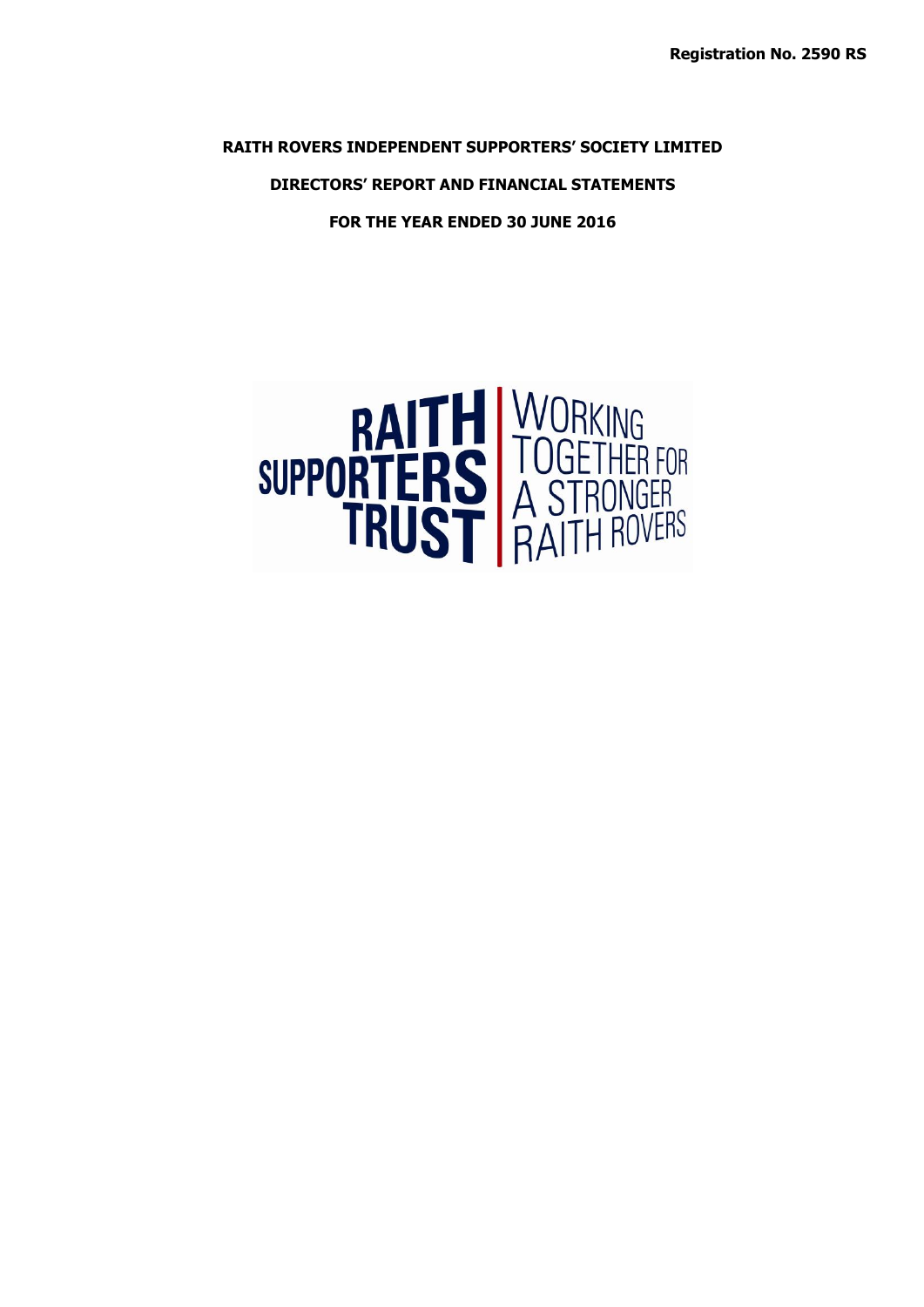**RAITH ROVERS INDEPENDENT SUPPORTERS' SOCIETY LIMITED**

**DIRECTORS' REPORT AND FINANCIAL STATEMENTS**

**FOR THE YEAR ENDED 30 JUNE 2016**

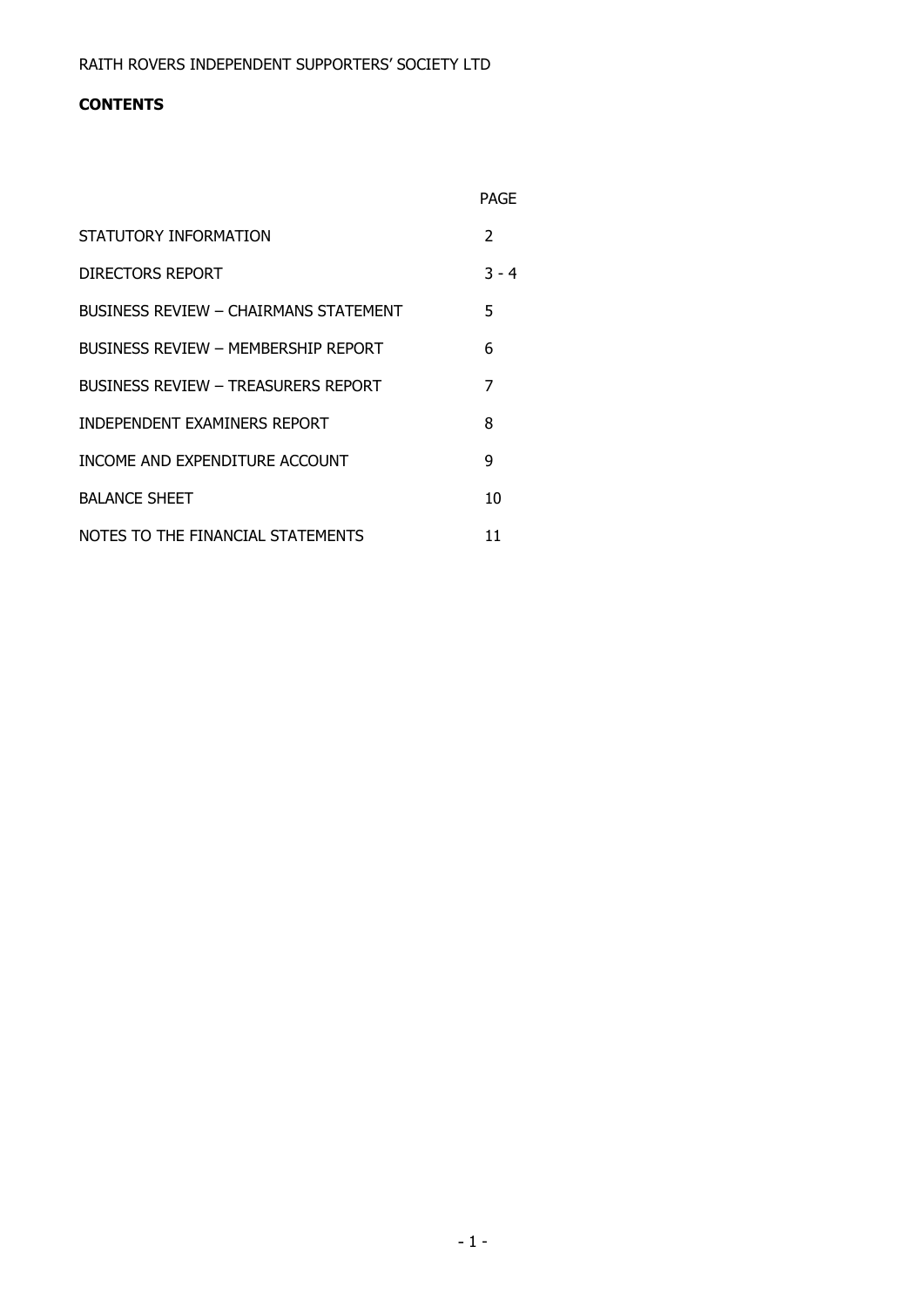# **CONTENTS**

|                                       | <b>PAGF</b>   |
|---------------------------------------|---------------|
| STATUTORY INFORMATION                 | $\mathcal{P}$ |
| DIRECTORS REPORT                      | $3 - 4$       |
| BUSINESS REVIEW - CHAIRMANS STATEMENT | 5             |
| BUSINESS REVIEW - MEMBERSHIP REPORT   | 6             |
| BUSINESS REVIEW - TREASURERS REPORT   | 7             |
| INDEPENDENT EXAMINERS REPORT          | 8             |
| INCOME AND EXPENDITURE ACCOUNT        | 9             |
| <b>BALANCE SHEET</b>                  | 10            |
| NOTES TO THE FINANCIAL STATEMENTS     | 11            |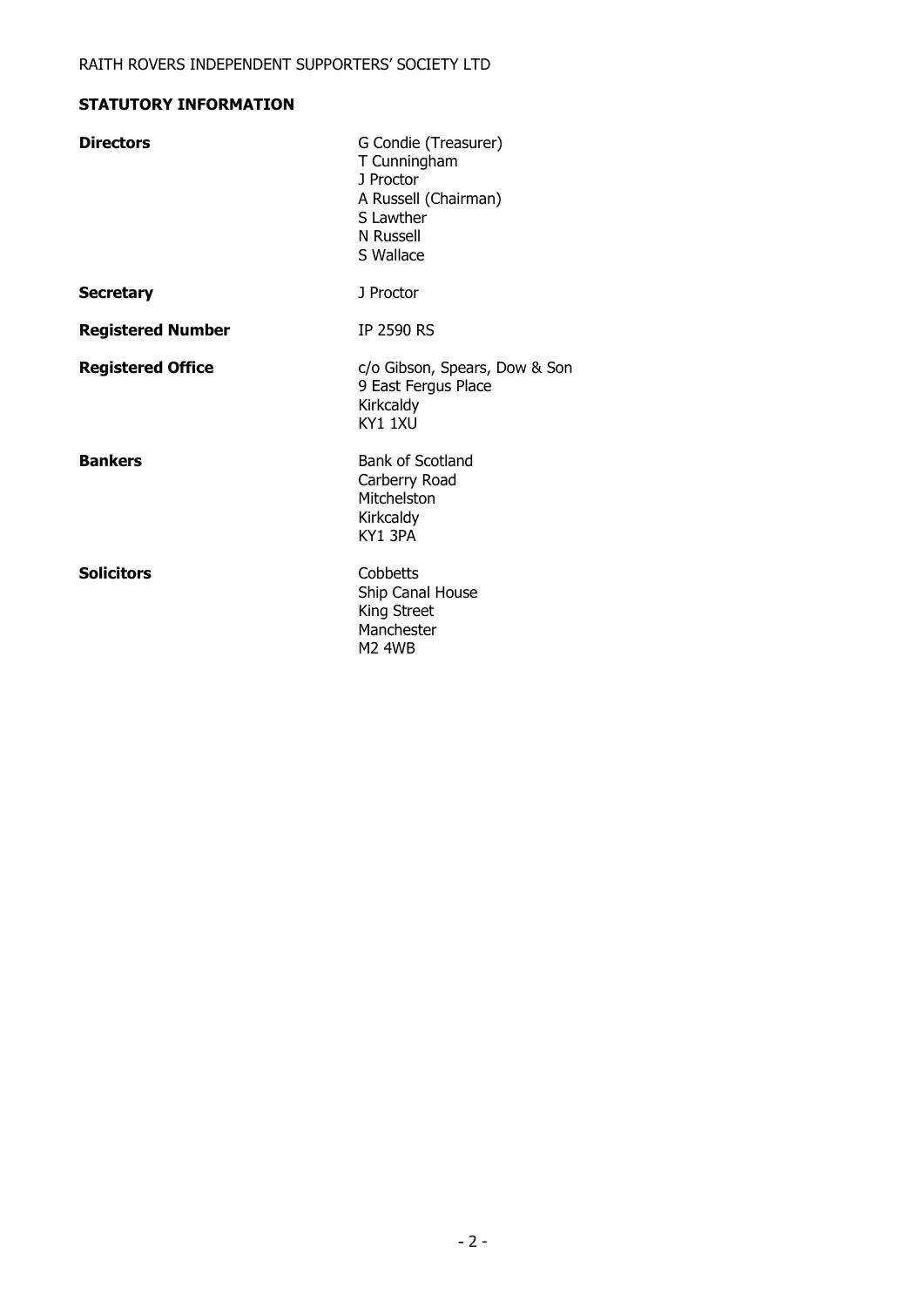# **STATUTORY INFORMATION**

| G Condie (Treasurer)<br>T Cunningham<br>1 Proctor<br>A Russell (Chairman)<br>S Lawther<br>N Russell<br>S Wallace |
|------------------------------------------------------------------------------------------------------------------|
| J Proctor                                                                                                        |
| IP 2590 RS                                                                                                       |
| c/o Gibson, Spears, Dow & Son<br>9 East Fergus Place<br>Kirkcaldy<br>KY1 1XU                                     |
| <b>Bank of Scotland</b><br>Carberry Road<br>Mitchelston<br>Kirkcaldy<br>KY1 3PA                                  |
| Cobbetts<br>Ship Canal House<br>King Street<br>Manchester<br><b>M2 4WB</b>                                       |
|                                                                                                                  |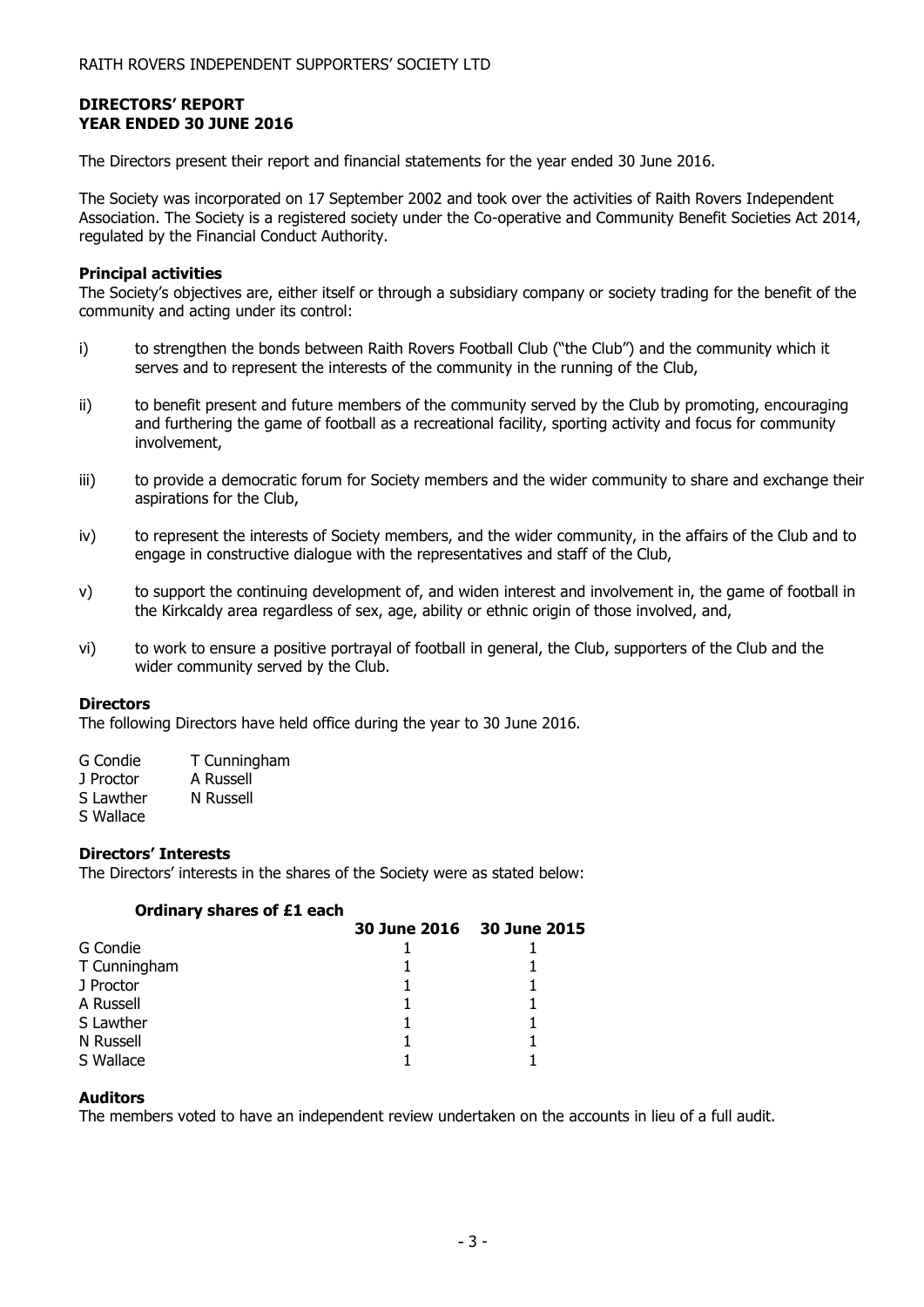# **DIRECTORS' REPORT YEAR ENDED 30 JUNE 2016**

The Directors present their report and financial statements for the year ended 30 June 2016.

The Society was incorporated on 17 September 2002 and took over the activities of Raith Rovers Independent Association. The Society is a registered society under the Co-operative and Community Benefit Societies Act 2014, regulated by the Financial Conduct Authority.

## **Principal activities**

The Society's objectives are, either itself or through a subsidiary company or society trading for the benefit of the community and acting under its control:

- i) to strengthen the bonds between Raith Rovers Football Club ("the Club") and the community which it serves and to represent the interests of the community in the running of the Club,
- ii) to benefit present and future members of the community served by the Club by promoting, encouraging and furthering the game of football as a recreational facility, sporting activity and focus for community involvement,
- iii) to provide a democratic forum for Society members and the wider community to share and exchange their aspirations for the Club,
- iv) to represent the interests of Society members, and the wider community, in the affairs of the Club and to engage in constructive dialogue with the representatives and staff of the Club,
- v) to support the continuing development of, and widen interest and involvement in, the game of football in the Kirkcaldy area regardless of sex, age, ability or ethnic origin of those involved, and,
- vi) to work to ensure a positive portrayal of football in general, the Club, supporters of the Club and the wider community served by the Club.

#### **Directors**

The following Directors have held office during the year to 30 June 2016.

| G Condie | T Cunningham |
|----------|--------------|
|          |              |

| J Proctor |  | A Russell |  |
|-----------|--|-----------|--|

- S Lawther N Russell
- S Wallace

# **Directors' Interests**

The Directors' interests in the shares of the Society were as stated below:

# **Ordinary shares of £1 each**

|              | 30 June 2016 30 June 2015 |
|--------------|---------------------------|
| G Condie     |                           |
| T Cunningham |                           |
| J Proctor    |                           |
| A Russell    |                           |
| S Lawther    |                           |
| N Russell    |                           |
| S Wallace    |                           |

#### **Auditors**

The members voted to have an independent review undertaken on the accounts in lieu of a full audit.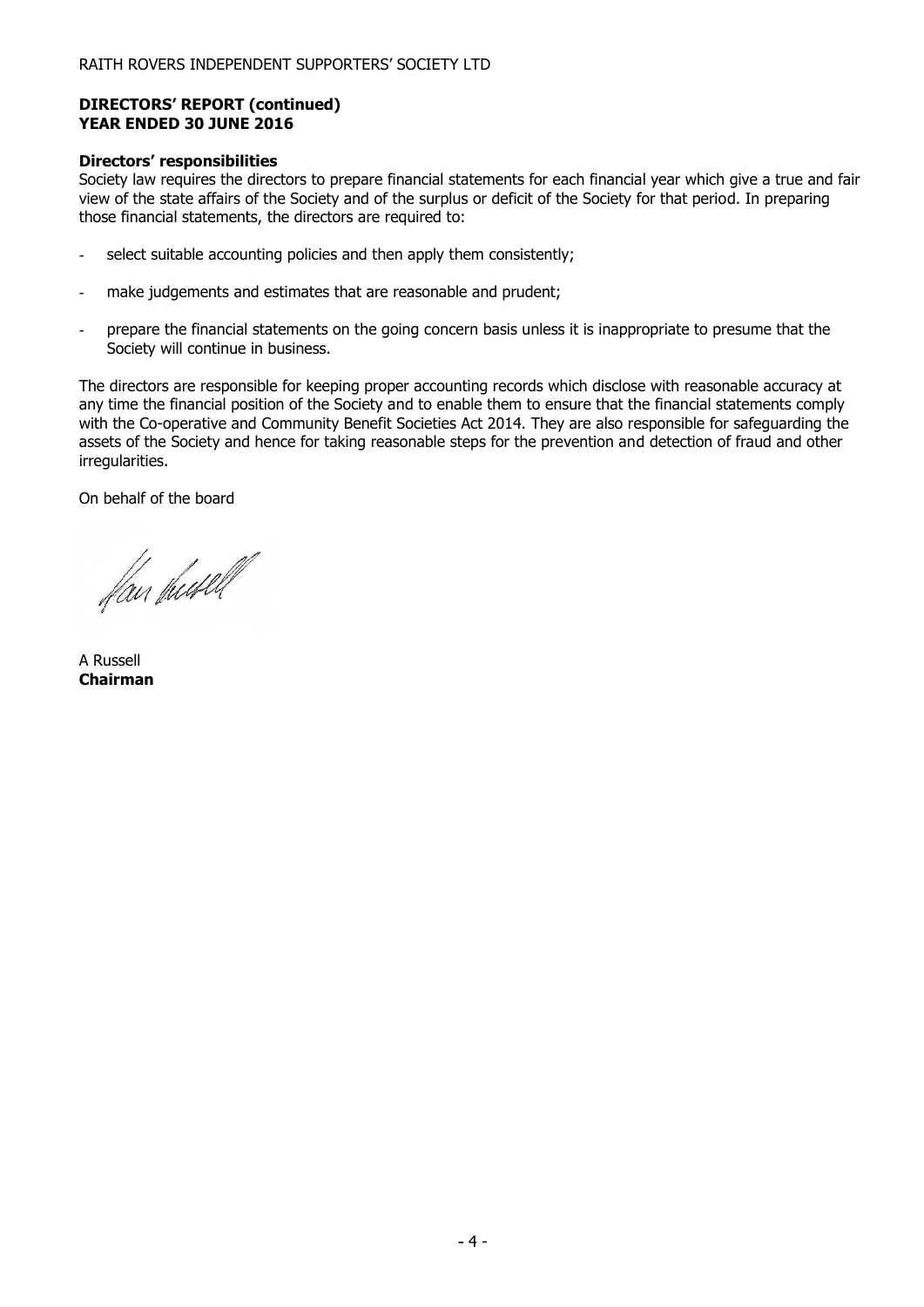#### **DIRECTORS' REPORT (continued) YEAR ENDED 30 JUNE 2016**

### **Directors' responsibilities**

Society law requires the directors to prepare financial statements for each financial year which give a true and fair view of the state affairs of the Society and of the surplus or deficit of the Society for that period. In preparing those financial statements, the directors are required to:

- select suitable accounting policies and then apply them consistently;
- make judgements and estimates that are reasonable and prudent;
- prepare the financial statements on the going concern basis unless it is inappropriate to presume that the Society will continue in business.

The directors are responsible for keeping proper accounting records which disclose with reasonable accuracy at any time the financial position of the Society and to enable them to ensure that the financial statements comply with the Co-operative and Community Benefit Societies Act 2014. They are also responsible for safeguarding the assets of the Society and hence for taking reasonable steps for the prevention and detection of fraud and other irregularities.

On behalf of the board

flan shufell

A Russell **Chairman**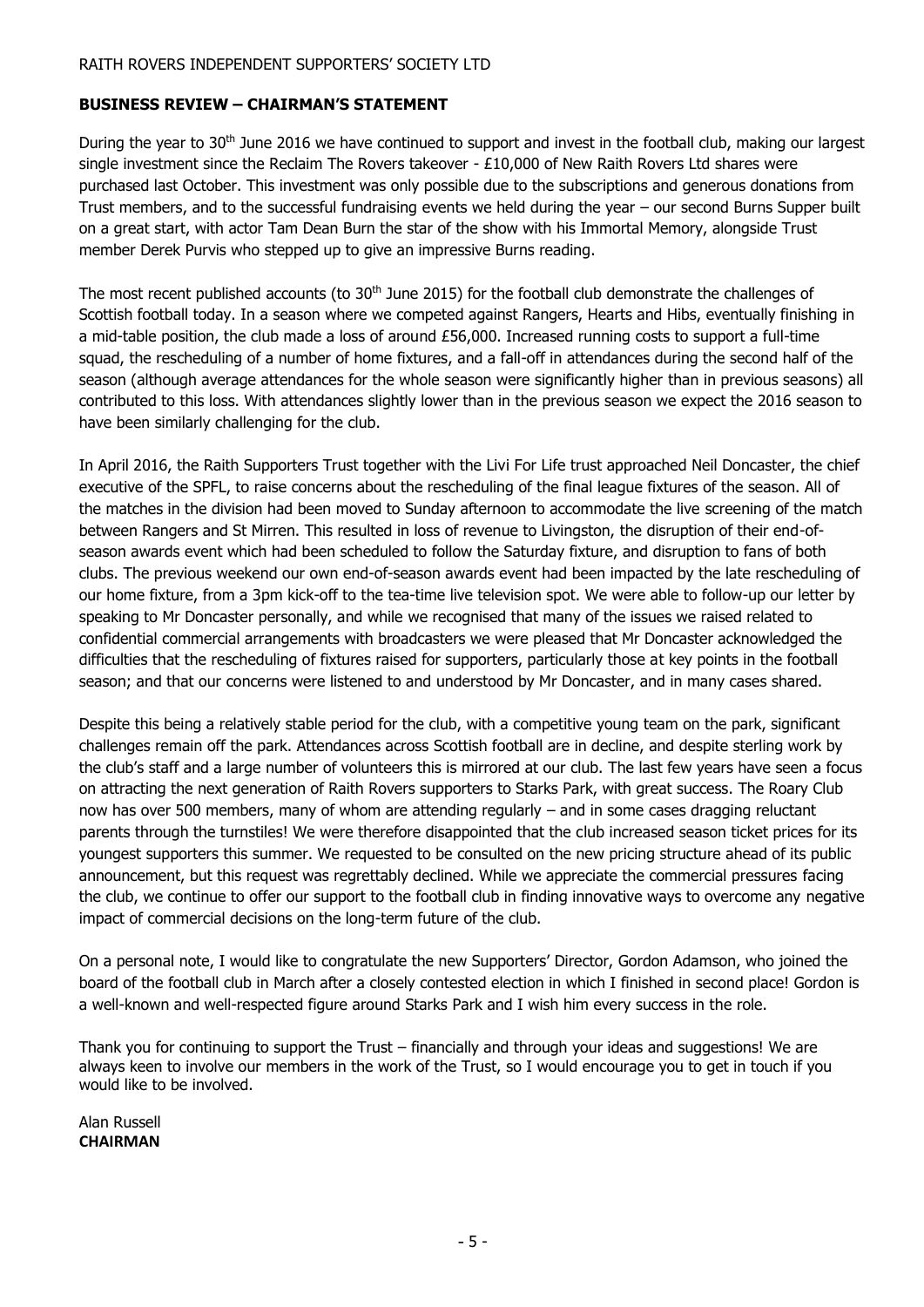# **BUSINESS REVIEW – CHAIRMAN'S STATEMENT**

During the year to 30<sup>th</sup> June 2016 we have continued to support and invest in the football club, making our largest single investment since the Reclaim The Rovers takeover -  $£10,000$  of New Raith Rovers Ltd shares were purchased last October. This investment was only possible due to the subscriptions and generous donations from Trust members, and to the successful fundraising events we held during the year – our second Burns Supper built on a great start, with actor Tam Dean Burn the star of the show with his Immortal Memory, alongside Trust member Derek Purvis who stepped up to give an impressive Burns reading.

The most recent published accounts (to 30<sup>th</sup> June 2015) for the football club demonstrate the challenges of Scottish football today. In a season where we competed against Rangers, Hearts and Hibs, eventually finishing in a mid-table position, the club made a loss of around £56,000. Increased running costs to support a full-time squad, the rescheduling of a number of home fixtures, and a fall-off in attendances during the second half of the season (although average attendances for the whole season were significantly higher than in previous seasons) all contributed to this loss. With attendances slightly lower than in the previous season we expect the 2016 season to have been similarly challenging for the club.

In April 2016, the Raith Supporters Trust together with the Livi For Life trust approached Neil Doncaster, the chief executive of the SPFL, to raise concerns about the rescheduling of the final league fixtures of the season. All of the matches in the division had been moved to Sunday afternoon to accommodate the live screening of the match between Rangers and St Mirren. This resulted in loss of revenue to Livingston, the disruption of their end-ofseason awards event which had been scheduled to follow the Saturday fixture, and disruption to fans of both clubs. The previous weekend our own end-of-season awards event had been impacted by the late rescheduling of our home fixture, from a 3pm kick-off to the tea-time live television spot. We were able to follow-up our letter by speaking to Mr Doncaster personally, and while we recognised that many of the issues we raised related to confidential commercial arrangements with broadcasters we were pleased that Mr Doncaster acknowledged the difficulties that the rescheduling of fixtures raised for supporters, particularly those at key points in the football season; and that our concerns were listened to and understood by Mr Doncaster, and in many cases shared.

Despite this being a relatively stable period for the club, with a competitive young team on the park, significant challenges remain off the park. Attendances across Scottish football are in decline, and despite sterling work by the club's staff and a large number of volunteers this is mirrored at our club. The last few years have seen a focus on attracting the next generation of Raith Rovers supporters to Starks Park, with great success. The Roary Club now has over 500 members, many of whom are attending regularly – and in some cases dragging reluctant parents through the turnstiles! We were therefore disappointed that the club increased season ticket prices for its youngest supporters this summer. We requested to be consulted on the new pricing structure ahead of its public announcement, but this request was regrettably declined. While we appreciate the commercial pressures facing the club, we continue to offer our support to the football club in finding innovative ways to overcome any negative impact of commercial decisions on the long-term future of the club.

On a personal note, I would like to congratulate the new Supporters' Director, Gordon Adamson, who joined the board of the football club in March after a closely contested election in which I finished in second place! Gordon is a well-known and well-respected figure around Starks Park and I wish him every success in the role.

Thank you for continuing to support the Trust – financially and through your ideas and suggestions! We are always keen to involve our members in the work of the Trust, so I would encourage you to get in touch if you would like to be involved.

Alan Russell **CHAIRMAN**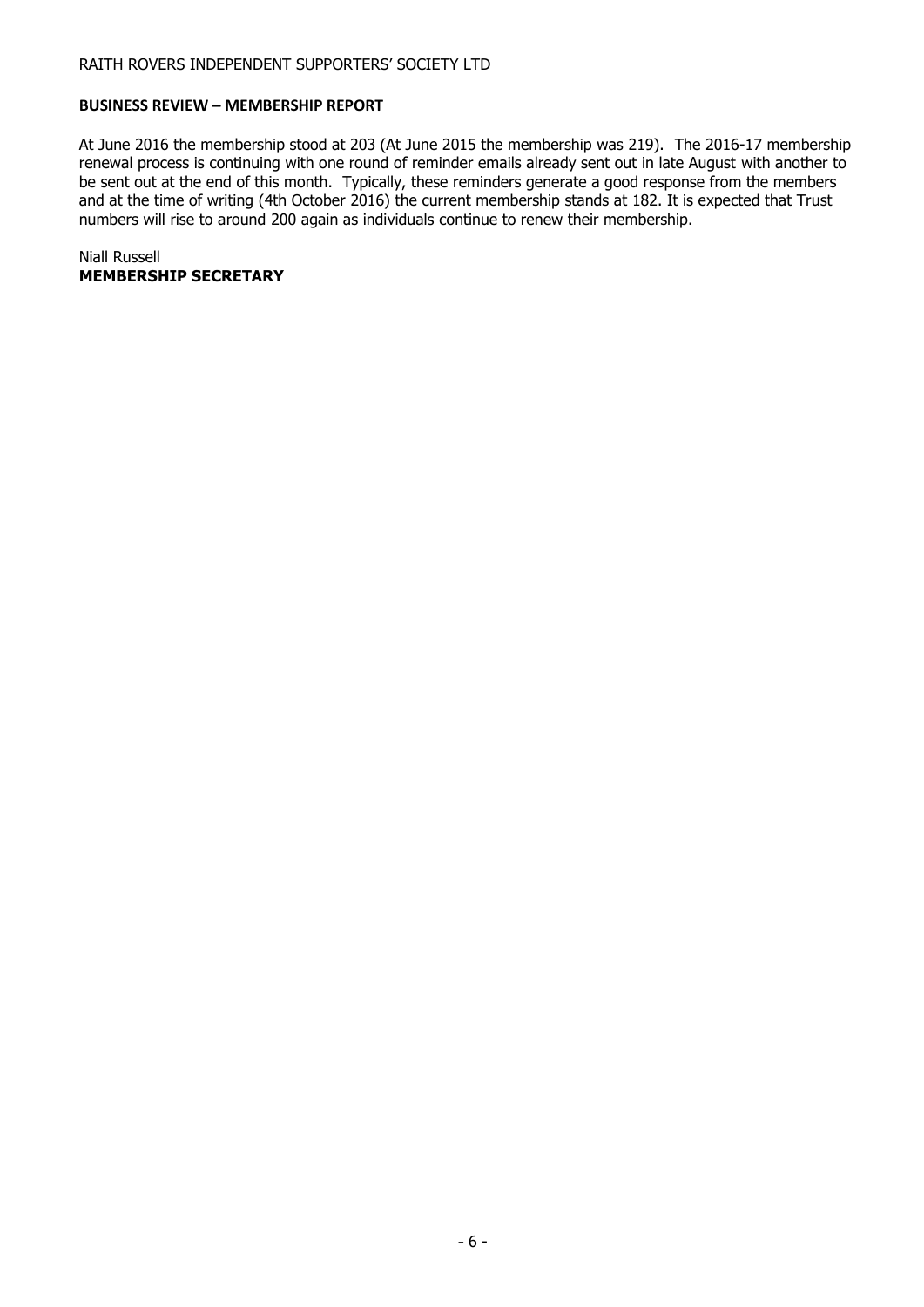#### **BUSINESS REVIEW – MEMBERSHIP REPORT**

At June 2016 the membership stood at 203 (At June 2015 the membership was 219). The 2016-17 membership renewal process is continuing with one round of reminder emails already sent out in late August with another to be sent out at the end of this month. Typically, these reminders generate a good response from the members and at the time of writing (4th October 2016) the current membership stands at 182. It is expected that Trust numbers will rise to around 200 again as individuals continue to renew their membership.

Niall Russell **MEMBERSHIP SECRETARY**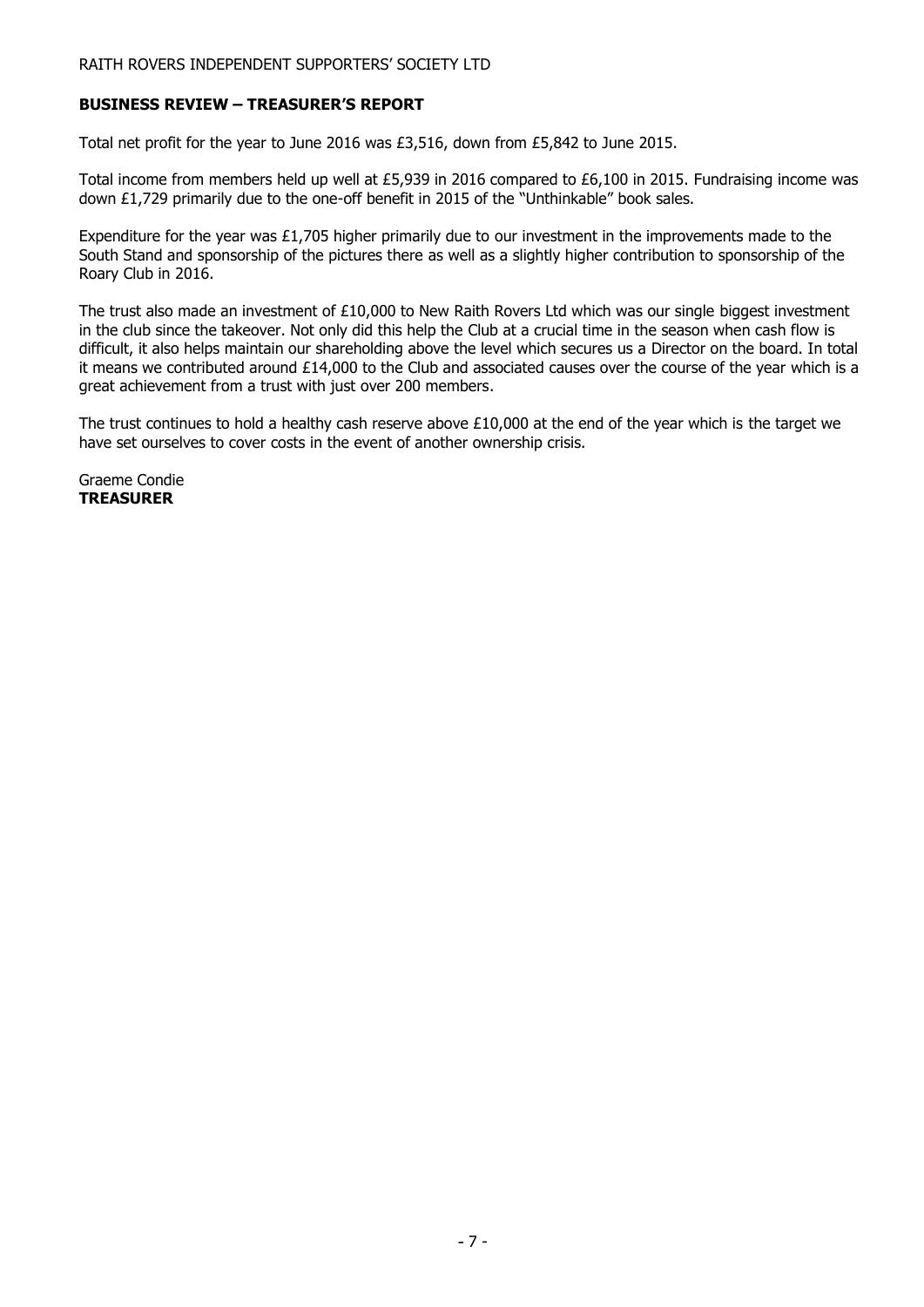## **BUSINESS REVIEW – TREASURER'S REPORT**

Total net profit for the year to June 2016 was £3,516, down from £5,842 to June 2015.

Total income from members held up well at £5,939 in 2016 compared to £6,100 in 2015. Fundraising income was down £1,729 primarily due to the one-off benefit in 2015 of the "Unthinkable" book sales.

Expenditure for the year was £1,705 higher primarily due to our investment in the improvements made to the South Stand and sponsorship of the pictures there as well as a slightly higher contribution to sponsorship of the Roary Club in 2016.

The trust also made an investment of £10,000 to New Raith Rovers Ltd which was our single biggest investment in the club since the takeover. Not only did this help the Club at a crucial time in the season when cash flow is difficult, it also helps maintain our shareholding above the level which secures us a Director on the board. In total it means we contributed around £14,000 to the Club and associated causes over the course of the year which is a great achievement from a trust with just over 200 members.

The trust continues to hold a healthy cash reserve above £10,000 at the end of the year which is the target we have set ourselves to cover costs in the event of another ownership crisis.

Graeme Condie **TREASURER**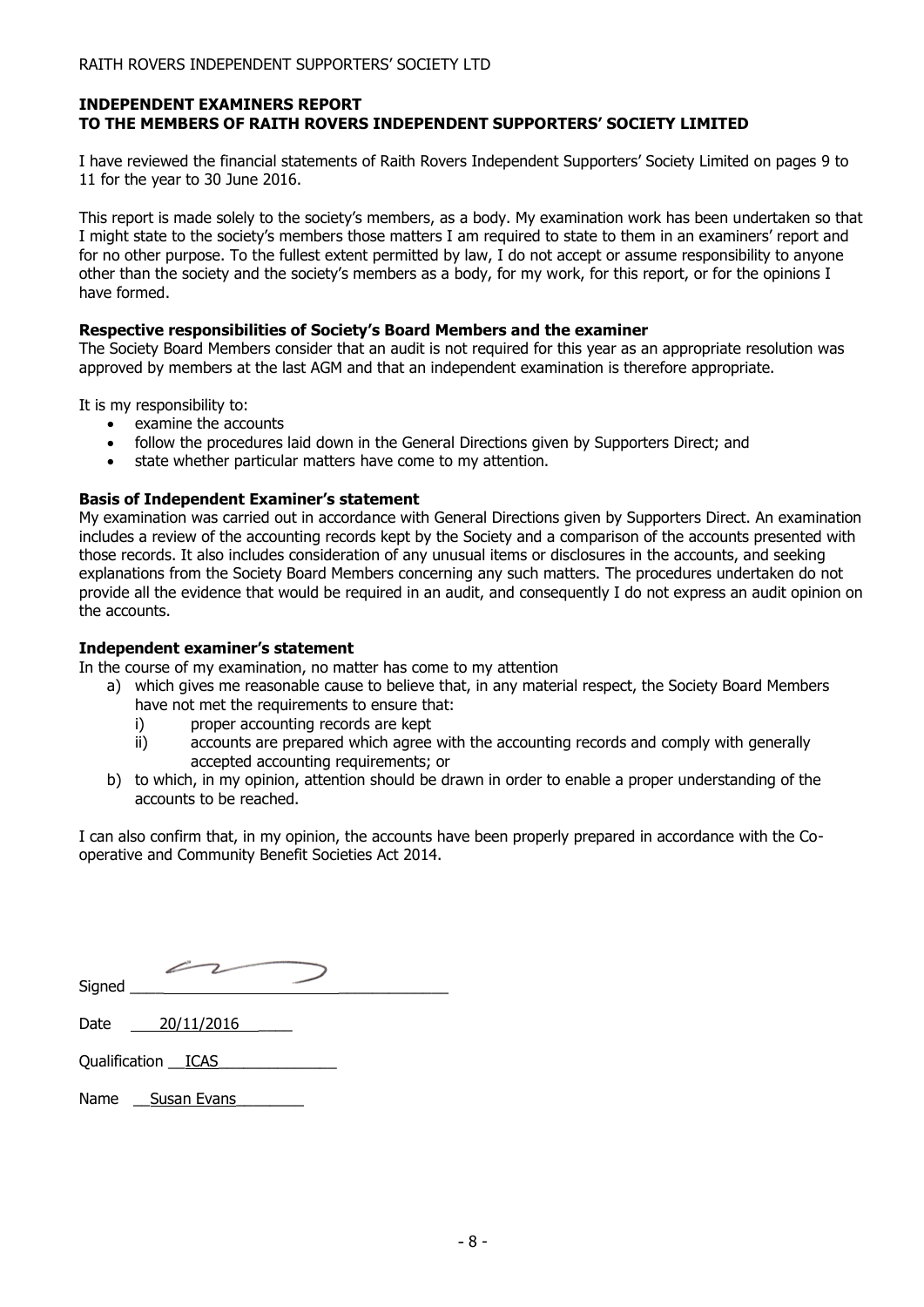## **INDEPENDENT EXAMINERS REPORT TO THE MEMBERS OF RAITH ROVERS INDEPENDENT SUPPORTERS' SOCIETY LIMITED**

I have reviewed the financial statements of Raith Rovers Independent Supporters' Society Limited on pages 9 to 11 for the year to 30 June 2016.

This report is made solely to the society's members, as a body. My examination work has been undertaken so that I might state to the society's members those matters I am required to state to them in an examiners' report and for no other purpose. To the fullest extent permitted by law, I do not accept or assume responsibility to anyone other than the society and the society's members as a body, for my work, for this report, or for the opinions I have formed.

#### **Respective responsibilities of Society's Board Members and the examiner**

The Society Board Members consider that an audit is not required for this year as an appropriate resolution was approved by members at the last AGM and that an independent examination is therefore appropriate.

It is my responsibility to:

- examine the accounts
- follow the procedures laid down in the General Directions given by Supporters Direct; and
- state whether particular matters have come to my attention.

# **Basis of Independent Examiner's statement**

My examination was carried out in accordance with General Directions given by Supporters Direct. An examination includes a review of the accounting records kept by the Society and a comparison of the accounts presented with those records. It also includes consideration of any unusual items or disclosures in the accounts, and seeking explanations from the Society Board Members concerning any such matters. The procedures undertaken do not provide all the evidence that would be required in an audit, and consequently I do not express an audit opinion on the accounts.

# **Independent examiner's statement**

In the course of my examination, no matter has come to my attention

- a) which gives me reasonable cause to believe that, in any material respect, the Society Board Members have not met the requirements to ensure that:
	- i) proper accounting records are kept
	- ii) accounts are prepared which agree with the accounting records and comply with generally accepted accounting requirements; or
- b) to which, in my opinion, attention should be drawn in order to enable a proper understanding of the accounts to be reached.

I can also confirm that, in my opinion, the accounts have been properly prepared in accordance with the Cooperative and Community Benefit Societies Act 2014.

| Signed |  |
|--------|--|
|        |  |

Date 20/11/2016

Qualification \_\_ICAS\_\_\_\_\_\_\_\_\_\_\_\_\_\_

Name \_\_\_ Susan Evans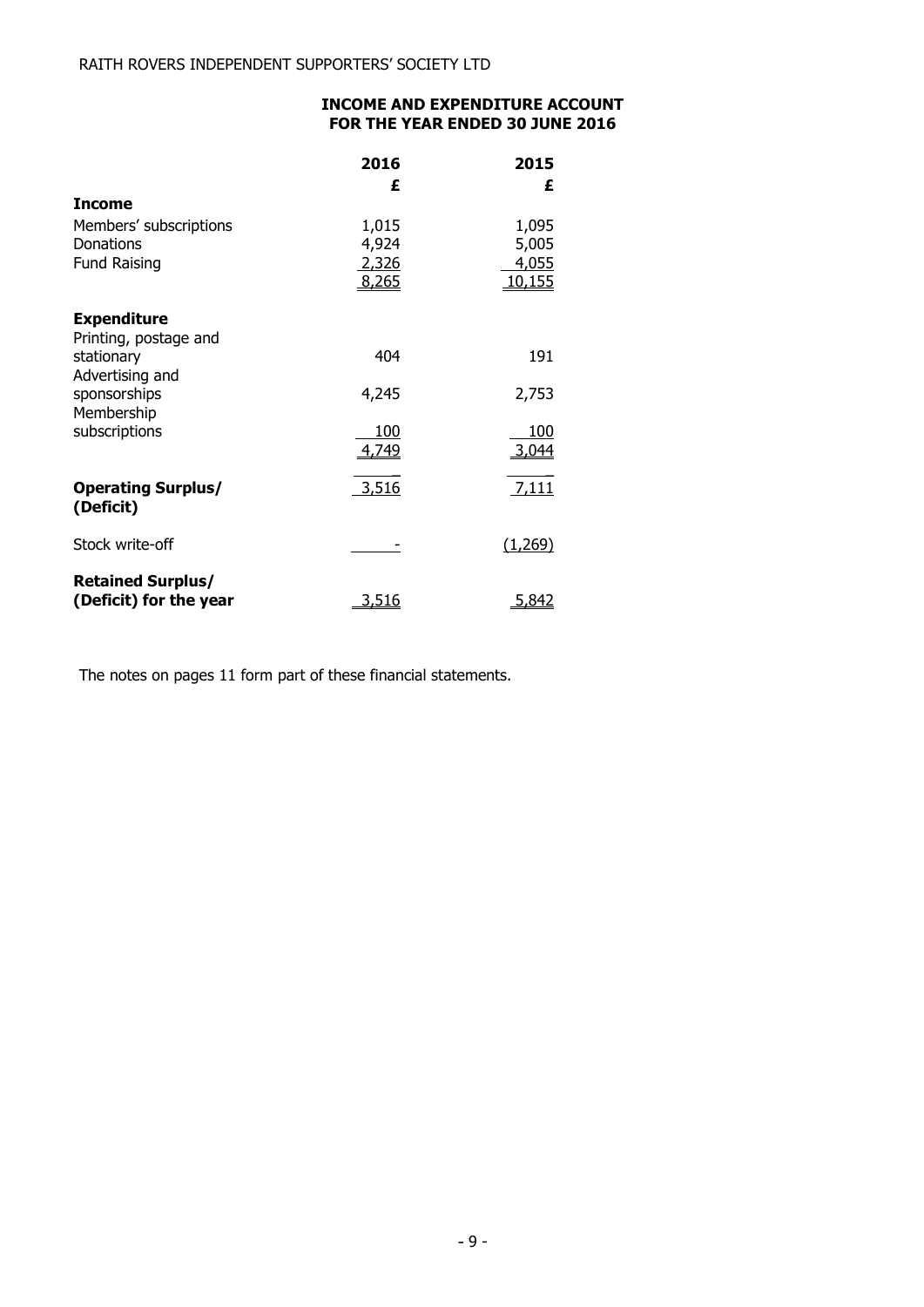# **INCOME AND EXPENDITURE ACCOUNT FOR THE YEAR ENDED 30 JUNE 2016**

|                            | 2016<br>£ | 2015<br>£ |
|----------------------------|-----------|-----------|
| <b>Income</b>              |           |           |
| Members' subscriptions     | 1,015     | 1,095     |
| Donations                  | 4,924     | 5,005     |
| <b>Fund Raising</b>        | 2,326     | 4,055     |
|                            | 8,265     | 10,155    |
| <b>Expenditure</b>         |           |           |
| Printing, postage and      |           |           |
| stationary                 | 404       | 191       |
| Advertising and            |           |           |
| sponsorships<br>Membership | 4,245     | 2,753     |
| subscriptions              | 100       | 100       |
|                            | 4,749     | 3,044     |
| <b>Operating Surplus/</b>  | 3,516     | 7,111     |
| (Deficit)                  |           |           |
| Stock write-off            |           | (1,269)   |
|                            |           |           |
| <b>Retained Surplus/</b>   |           |           |
| (Deficit) for the year     | 3,516     | 5,842     |

The notes on pages 11 form part of these financial statements.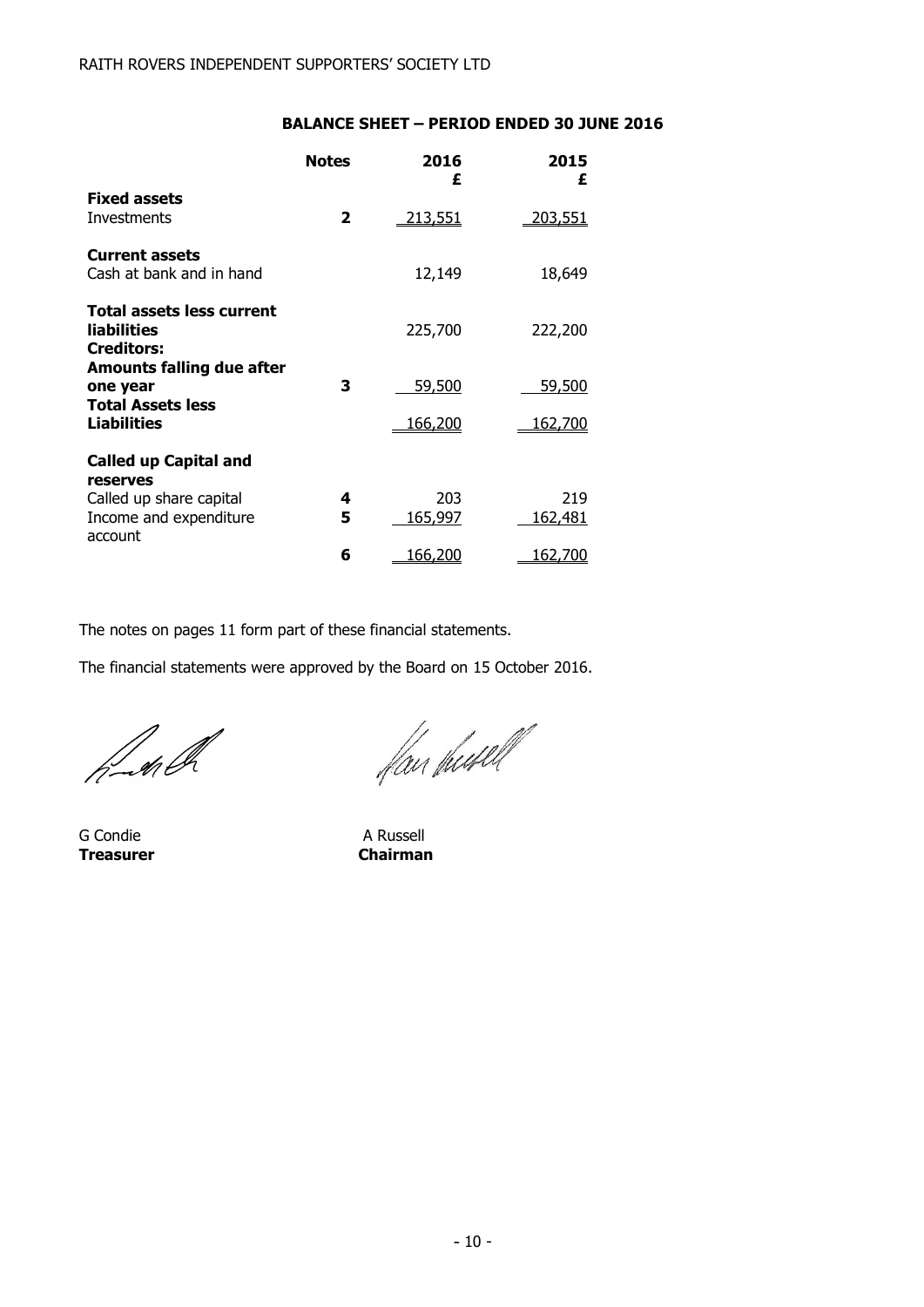# **BALANCE SHEET – PERIOD ENDED 30 JUNE 2016**

|                                                                             | <b>Notes</b> | 2016<br>£      | 2015<br>£             |
|-----------------------------------------------------------------------------|--------------|----------------|-----------------------|
| <b>Fixed assets</b><br>Investments                                          | 2            | <u>213,551</u> | 203,551               |
| <b>Current assets</b><br>Cash at bank and in hand                           |              | 12,149         | 18,649                |
| <b>Total assets less current</b><br><b>liabilities</b><br><b>Creditors:</b> |              | 225,700        | 222,200               |
| Amounts falling due after<br>one year                                       | 3            | 59,500         | <u>59,500</u>         |
| <b>Total Assets less</b><br><b>Liabilities</b>                              |              | 166,200        | <u>162,700</u>        |
| <b>Called up Capital and</b>                                                |              |                |                       |
| reserves<br>Called up share capital<br>Income and expenditure<br>account    | 4<br>5       | 203<br>165,997 | 219<br><u>162,481</u> |
|                                                                             | 6            | <u>166,200</u> | 162,700               |

The notes on pages 11 form part of these financial statements.

The financial statements were approved by the Board on 15 October 2016.

h-shell

G Condie **A Russell Treasurer Chairman**

flan fundel